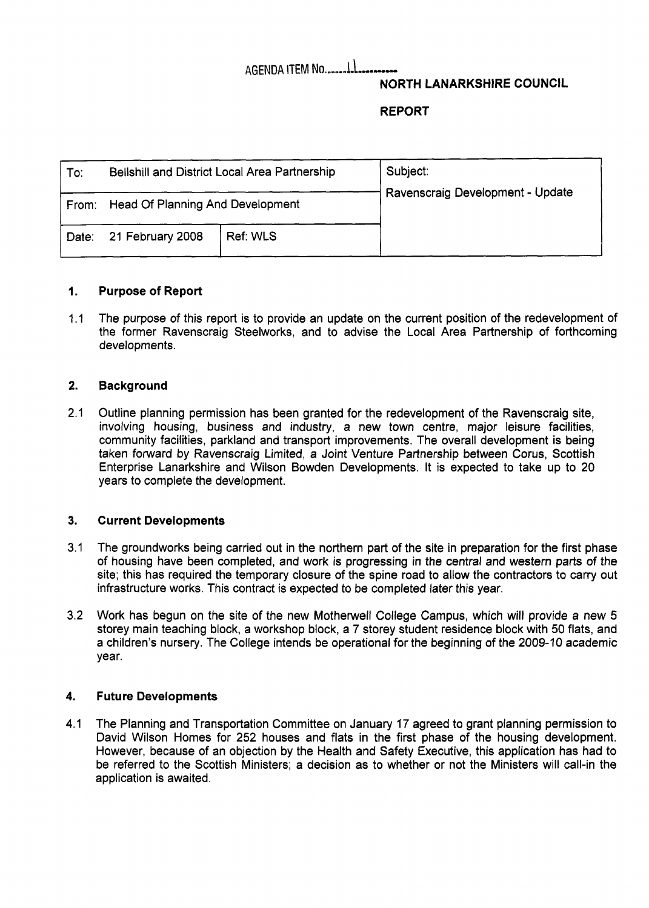# AGENDA ITEM **NO.-m-.~~-\-...--.**

## **NORTH LANARKSHIRE COUNCIL**

## **REPORT**

| To:   | Bellshill and District Local Area Partnership |          | Subject:<br>Ravenscraig Development - Update |
|-------|-----------------------------------------------|----------|----------------------------------------------|
|       | From: Head Of Planning And Development        |          |                                              |
| Date: | 21 February 2008                              | Ref: WLS |                                              |

#### **1. Purpose of Report**

1.1 The purpose of this report is to provide an update on the current position of the redevelopment of the former Ravenscraig Steelworks, and to advise the Local Area Partnership of forthcoming developments.

#### **2. Background**

2.1 Outline planning permission has been granted for the redevelopment of the Ravenscraig site, involving housing, business and industry, a new town centre, major leisure facilities, community facilities, parkland and transport improvements. The overall development is being taken forward by Ravenscraig Limited, a Joint Venture Partnership between Corus, Scottish Enterprise Lanarkshire and Wilson Bowden Developments. It is expected to take up to 20 years to complete the development.

#### **3. Current Developments**

- 3.1 The groundworks being carried out in the northern part of the site in preparation for the first phase of housing have been completed, and work is progressing in the central and western parts of the site; this has required the temporary closure of the spine road to allow the contractors to carry out infrastructure works. This contract is expected to be completed later this year.
- 3.2 Work has begun on the site of the new Motherwell College Campus, which will provide a new 5 storey main teaching block, a workshop block, a 7 storey student residence block with 50 flats, and a children's nursery. The College intends be operational for the beginning of the 2009-10 academic year.

#### **4. Future Developments**

4.1 The Planning and Transportation Committee on January **17** agreed to grant planning permission to David Wilson Homes for 252 houses and flats in the first phase of the housing development. However, because of an objection by the Health and Safety Executive, this application has had to be referred to the Scottish Ministers; a decision as to whether or not the Ministers will call-in the application is awaited.